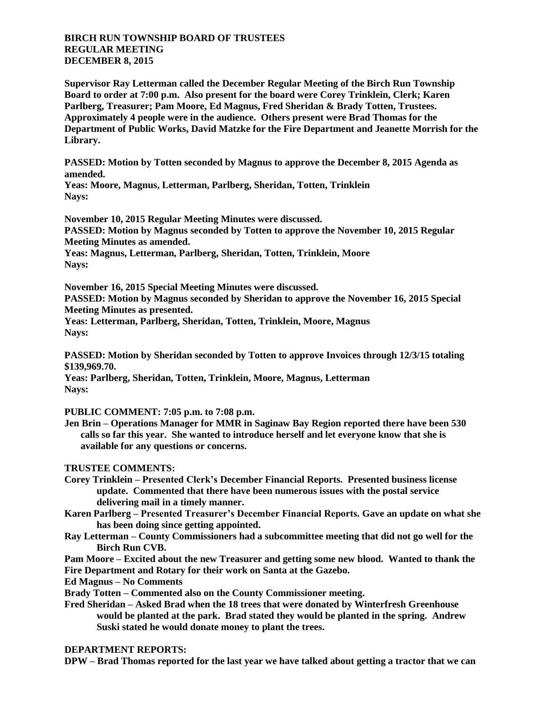## **BIRCH RUN TOWNSHIP BOARD OF TRUSTEES REGULAR MEETING DECEMBER 8, 2015**

**Supervisor Ray Letterman called the December Regular Meeting of the Birch Run Township Board to order at 7:00 p.m. Also present for the board were Corey Trinklein, Clerk; Karen Parlberg, Treasurer; Pam Moore, Ed Magnus, Fred Sheridan & Brady Totten, Trustees. Approximately 4 people were in the audience. Others present were Brad Thomas for the Department of Public Works, David Matzke for the Fire Department and Jeanette Morrish for the Library.**

**PASSED: Motion by Totten seconded by Magnus to approve the December 8, 2015 Agenda as amended.**

**Yeas: Moore, Magnus, Letterman, Parlberg, Sheridan, Totten, Trinklein Nays:** 

**November 10, 2015 Regular Meeting Minutes were discussed. PASSED: Motion by Magnus seconded by Totten to approve the November 10, 2015 Regular Meeting Minutes as amended.**

**Yeas: Magnus, Letterman, Parlberg, Sheridan, Totten, Trinklein, Moore Nays:** 

**November 16, 2015 Special Meeting Minutes were discussed.**

**PASSED: Motion by Magnus seconded by Sheridan to approve the November 16, 2015 Special Meeting Minutes as presented.**

**Yeas: Letterman, Parlberg, Sheridan, Totten, Trinklein, Moore, Magnus Nays:** 

**PASSED: Motion by Sheridan seconded by Totten to approve Invoices through 12/3/15 totaling \$139,969.70.**

**Yeas: Parlberg, Sheridan, Totten, Trinklein, Moore, Magnus, Letterman Nays:** 

**PUBLIC COMMENT: 7:05 p.m. to 7:08 p.m.**

**Jen Brin – Operations Manager for MMR in Saginaw Bay Region reported there have been 530 calls so far this year. She wanted to introduce herself and let everyone know that she is available for any questions or concerns.**

## **TRUSTEE COMMENTS:**

- **Corey Trinklein – Presented Clerk's December Financial Reports. Presented business license update. Commented that there have been numerous issues with the postal service delivering mail in a timely manner.**
- **Karen Parlberg – Presented Treasurer's December Financial Reports. Gave an update on what she has been doing since getting appointed.**
- **Ray Letterman – County Commissioners had a subcommittee meeting that did not go well for the Birch Run CVB.**
- **Pam Moore – Excited about the new Treasurer and getting some new blood. Wanted to thank the Fire Department and Rotary for their work on Santa at the Gazebo.**
- **Ed Magnus – No Comments**

**Brady Totten – Commented also on the County Commissioner meeting.**

**Fred Sheridan – Asked Brad when the 18 trees that were donated by Winterfresh Greenhouse would be planted at the park. Brad stated they would be planted in the spring. Andrew Suski stated he would donate money to plant the trees.**

## **DEPARTMENT REPORTS:**

**DPW – Brad Thomas reported for the last year we have talked about getting a tractor that we can**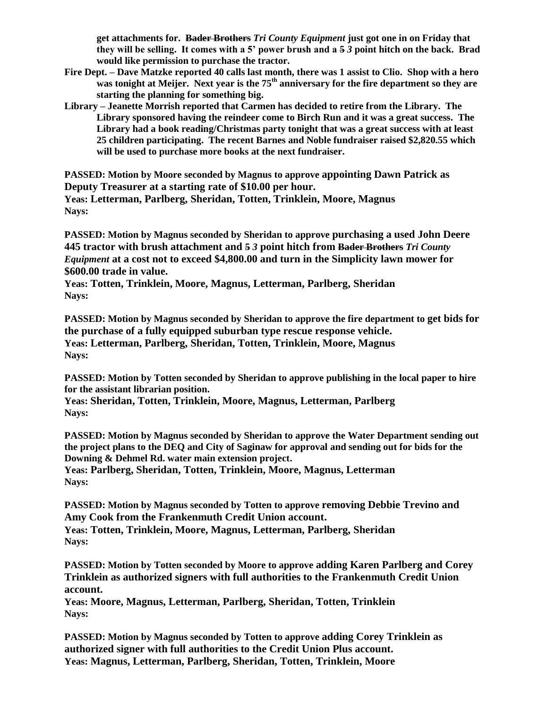**get attachments for. Bader Brothers** *Tri County Equipment* **just got one in on Friday that they will be selling. It comes with a 5' power brush and a 5** *3* **point hitch on the back. Brad would like permission to purchase the tractor.**

- **Fire Dept. – Dave Matzke reported 40 calls last month, there was 1 assist to Clio. Shop with a hero was tonight at Meijer. Next year is the 75th anniversary for the fire department so they are starting the planning for something big.**
- **Library – Jeanette Morrish reported that Carmen has decided to retire from the Library. The Library sponsored having the reindeer come to Birch Run and it was a great success. The Library had a book reading/Christmas party tonight that was a great success with at least 25 children participating. The recent Barnes and Noble fundraiser raised \$2,820.55 which will be used to purchase more books at the next fundraiser.**

**PASSED: Motion by Moore seconded by Magnus to approve appointing Dawn Patrick as Deputy Treasurer at a starting rate of \$10.00 per hour. Yeas: Letterman, Parlberg, Sheridan, Totten, Trinklein, Moore, Magnus Nays:** 

**PASSED: Motion by Magnus seconded by Sheridan to approve purchasing a used John Deere 445 tractor with brush attachment and 5** *3* **point hitch from Bader Brothers** *Tri County Equipment* **at a cost not to exceed \$4,800.00 and turn in the Simplicity lawn mower for \$600.00 trade in value.**

**Yeas: Totten, Trinklein, Moore, Magnus, Letterman, Parlberg, Sheridan Nays:** 

**PASSED: Motion by Magnus seconded by Sheridan to approve the fire department to get bids for the purchase of a fully equipped suburban type rescue response vehicle. Yeas: Letterman, Parlberg, Sheridan, Totten, Trinklein, Moore, Magnus Nays:** 

**PASSED: Motion by Totten seconded by Sheridan to approve publishing in the local paper to hire for the assistant librarian position.**

**Yeas: Sheridan, Totten, Trinklein, Moore, Magnus, Letterman, Parlberg Nays:** 

**PASSED: Motion by Magnus seconded by Sheridan to approve the Water Department sending out the project plans to the DEQ and City of Saginaw for approval and sending out for bids for the Downing & Dehmel Rd. water main extension project.**

**Yeas: Parlberg, Sheridan, Totten, Trinklein, Moore, Magnus, Letterman Nays:** 

**PASSED: Motion by Magnus seconded by Totten to approve removing Debbie Trevino and Amy Cook from the Frankenmuth Credit Union account. Yeas: Totten, Trinklein, Moore, Magnus, Letterman, Parlberg, Sheridan**

**Nays:** 

**PASSED: Motion by Totten seconded by Moore to approve adding Karen Parlberg and Corey Trinklein as authorized signers with full authorities to the Frankenmuth Credit Union account.**

**Yeas: Moore, Magnus, Letterman, Parlberg, Sheridan, Totten, Trinklein Nays:** 

**PASSED: Motion by Magnus seconded by Totten to approve adding Corey Trinklein as authorized signer with full authorities to the Credit Union Plus account. Yeas: Magnus, Letterman, Parlberg, Sheridan, Totten, Trinklein, Moore**